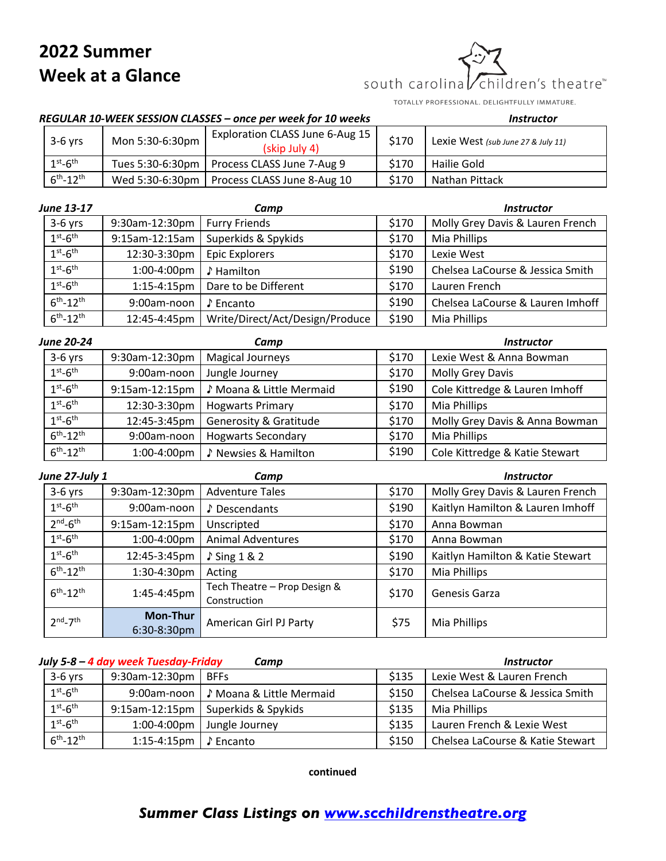## **2022 Summer Week at a Glance**

children's theatre™ south carolina

TOTALLY PROFESSIONAL. DELIGHTFULLY IMMATURE.

## *REGULAR 10-WEEK SESSION CLASSES – once per week for 10 weeks Instructor*

| $3-6$ yrs              | Mon 5:30-6:30pm | Exploration CLASS June 6-Aug 15<br>(skip July 4) | \$170 | Lexie West (sub June 27 & July 11) |
|------------------------|-----------------|--------------------------------------------------|-------|------------------------------------|
| $1st$ -6 <sup>th</sup> |                 | Tues 5:30-6:30pm   Process CLASS June 7-Aug 9    | \$170 | Hailie Gold                        |
| $6^{th} - 12^{th}$     |                 | Wed 5:30-6:30pm   Process CLASS June 8-Aug 10    | \$170 | Nathan Pittack                     |

| <b>June 13-17</b>  |                | Camp                            |       | <b>Instructor</b>                |
|--------------------|----------------|---------------------------------|-------|----------------------------------|
| $3-6$ yrs          | 9:30am-12:30pm | <b>Furry Friends</b>            | \$170 | Molly Grey Davis & Lauren French |
| $1st - 6th$        | 9:15am-12:15am | Superkids & Spykids             | \$170 | Mia Phillips                     |
| $1st - 6th$        | 12:30-3:30pm   | <b>Epic Explorers</b>           | \$170 | Lexie West                       |
| $1st - 6th$        | 1:00-4:00pm    | ♪ Hamilton                      | \$190 | Chelsea LaCourse & Jessica Smith |
| $1st - 6th$        | $1:15-4:15$ pm | Dare to be Different            | \$170 | Lauren French                    |
| $6^{th} - 12^{th}$ | 9:00am-noon    | ♪ Encanto                       | \$190 | Chelsea LaCourse & Lauren Imhoff |
| $6^{th} - 12^{th}$ | 12:45-4:45pm   | Write/Direct/Act/Design/Produce | \$190 | Mia Phillips                     |

| <b>June 20-24</b>  |                | Camp                              |       | <b>Instructor</b>              |
|--------------------|----------------|-----------------------------------|-------|--------------------------------|
| $3-6$ yrs          | 9:30am-12:30pm | <b>Magical Journeys</b>           | \$170 | Lexie West & Anna Bowman       |
| $1st - 6th$        | 9:00am-noon    | Jungle Journey                    | \$170 | Molly Grey Davis               |
| $1st-6th$          | 9:15am-12:15pm | ♪ Moana & Little Mermaid          | \$190 | Cole Kittredge & Lauren Imhoff |
| $1st - 6th$        | 12:30-3:30pm   | <b>Hogwarts Primary</b>           | \$170 | Mia Phillips                   |
| $1st-6th$          | 12:45-3:45pm   | <b>Generosity &amp; Gratitude</b> | \$170 | Molly Grey Davis & Anna Bowman |
| $6^{th} - 12^{th}$ | 9:00am-noon    | <b>Hogwarts Secondary</b>         | \$170 | Mia Phillips                   |
| $6^{th} - 12^{th}$ | 1:00-4:00pm    | ♪ Newsies & Hamilton              | \$190 | Cole Kittredge & Katie Stewart |

| June 27-July 1     |                         | Camp                                         |       | <b>Instructor</b>                |
|--------------------|-------------------------|----------------------------------------------|-------|----------------------------------|
| $3-6$ yrs          | 9:30am-12:30pm          | <b>Adventure Tales</b>                       | \$170 | Molly Grey Davis & Lauren French |
| $1st - 6th$        | 9:00am-noon             | Descendants                                  | \$190 | Kaitlyn Hamilton & Lauren Imhoff |
| $2nd-6th$          | 9:15am-12:15pm          | Unscripted                                   | \$170 | Anna Bowman                      |
| $1st - 6th$        | 1:00-4:00pm             | <b>Animal Adventures</b>                     | \$170 | Anna Bowman                      |
| $1st - 6th$        | 12:45-3:45pm            | $\sqrt{}$ Sing 1 & 2                         | \$190 | Kaitlyn Hamilton & Katie Stewart |
| $6th-12th$         | 1:30-4:30pm             | Acting                                       | \$170 | Mia Phillips                     |
| $6^{th} - 12^{th}$ | 1:45-4:45pm             | Tech Theatre - Prop Design &<br>Construction | \$170 | Genesis Garza                    |
| $2nd-7th$          | Mon-Thur<br>6:30-8:30pm | American Girl PJ Party                       | \$75  | Mia Phillips                     |

| July 5-8 – 4 day week Tuesday-Friday<br>Camp |                          |                                        |       | <b>Instructor</b>                |  |
|----------------------------------------------|--------------------------|----------------------------------------|-------|----------------------------------|--|
| $3-6$ yrs                                    | $9:30$ am-12:30pm   BFFs |                                        | \$135 | Lexie West & Lauren French       |  |
| $1st-6th$                                    |                          | 9:00am-noon   ♪ Moana & Little Mermaid | \$150 | Chelsea LaCourse & Jessica Smith |  |
| $1st-6th$                                    |                          | 9:15am-12:15pm   Superkids & Spykids   | \$135 | Mia Phillips                     |  |
| $1st-6th$                                    | $1:00-4:00$ pm           | Jungle Journey                         | \$135 | Lauren French & Lexie West       |  |
| $6^{th} - 12^{th}$                           | 1:15-4:15pm   ♪ Encanto  |                                        | \$150 | Chelsea LaCourse & Katie Stewart |  |

**continued**

## *Summer Class Listings on www.scchildrenstheatre.org*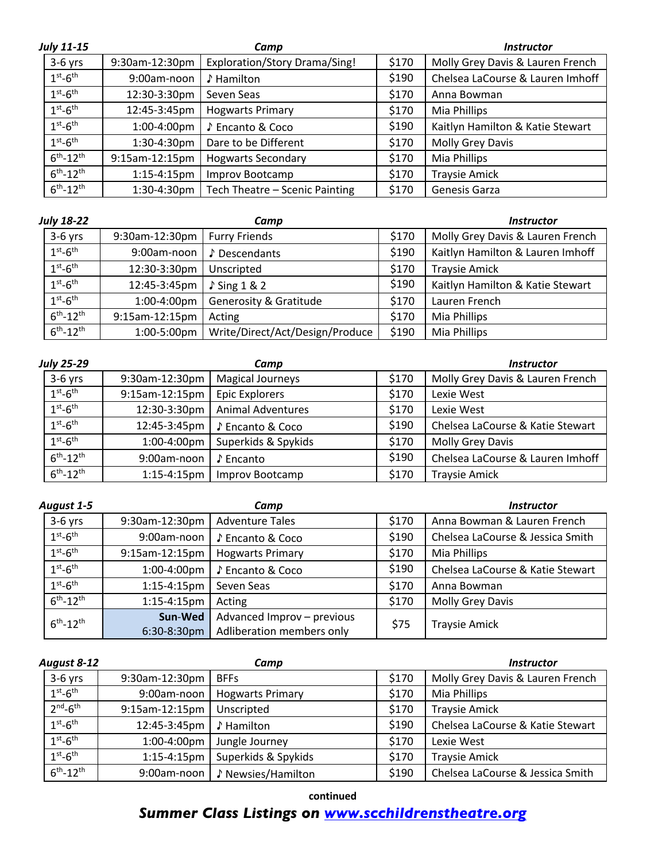| <b>July 11-15</b>  |                | Camp                                 |       | <b>Instructor</b>                |
|--------------------|----------------|--------------------------------------|-------|----------------------------------|
| $3-6$ yrs          | 9:30am-12:30pm | <b>Exploration/Story Drama/Sing!</b> | \$170 | Molly Grey Davis & Lauren French |
| $1st - 6th$        | 9:00am-noon    | ♪ Hamilton                           | \$190 | Chelsea LaCourse & Lauren Imhoff |
| $1st - 6th$        | 12:30-3:30pm   | Seven Seas                           | \$170 | Anna Bowman                      |
| $1st - 6th$        | 12:45-3:45pm   | <b>Hogwarts Primary</b>              | \$170 | Mia Phillips                     |
| $1st - 6th$        | 1:00-4:00pm    | ♪ Encanto & Coco                     | \$190 | Kaitlyn Hamilton & Katie Stewart |
| $1st - 6th$        | 1:30-4:30pm    | Dare to be Different                 | \$170 | Molly Grey Davis                 |
| $6^{th} - 12^{th}$ | 9:15am-12:15pm | <b>Hogwarts Secondary</b>            | \$170 | Mia Phillips                     |
| $6th - 12th$       | $1:15-4:15$ pm | Improv Bootcamp                      | \$170 | <b>Traysie Amick</b>             |
| $6^{th} - 12^{th}$ | 1:30-4:30pm    | Tech Theatre - Scenic Painting       | \$170 | Genesis Garza                    |

| <b>July 18-22</b>  |                | Camp                              |       | <i><b>Instructor</b></i>         |
|--------------------|----------------|-----------------------------------|-------|----------------------------------|
| $3-6$ yrs          | 9:30am-12:30pm | <b>Furry Friends</b>              | \$170 | Molly Grey Davis & Lauren French |
| $1st-6th$          | 9:00am-noon    | Descendants                       | \$190 | Kaitlyn Hamilton & Lauren Imhoff |
| $1st - 6th$        | 12:30-3:30pm   | Unscripted                        | \$170 | <b>Traysie Amick</b>             |
| $1st-6th$          | 12:45-3:45pm   | $\sqrt{}$ Sing 1 & 2              | \$190 | Kaitlyn Hamilton & Katie Stewart |
| $1st-6th$          | 1:00-4:00pm    | <b>Generosity &amp; Gratitude</b> | \$170 | Lauren French                    |
| $6^{th} - 12^{th}$ | 9:15am-12:15pm | Acting                            | \$170 | Mia Phillips                     |
| $6^{th} - 12^{th}$ | 1:00-5:00pm    | Write/Direct/Act/Design/Produce   | \$190 | Mia Phillips                     |

| July 25-29         |                | Camp                     |       | <b>Instructor</b>                |
|--------------------|----------------|--------------------------|-------|----------------------------------|
| $3-6$ yrs          | 9:30am-12:30pm | <b>Magical Journeys</b>  | \$170 | Molly Grey Davis & Lauren French |
| $1st - 6th$        | 9:15am-12:15pm | <b>Epic Explorers</b>    | \$170 | Lexie West                       |
| $1st-6th$          | 12:30-3:30pm   | <b>Animal Adventures</b> | \$170 | Lexie West                       |
| $1st-6th$          | 12:45-3:45pm   | ♪ Encanto & Coco         | \$190 | Chelsea LaCourse & Katie Stewart |
| $1st - 6th$        | 1:00-4:00pm    | Superkids & Spykids      | \$170 | Molly Grey Davis                 |
| $6^{th} - 12^{th}$ | 9:00am-noon    | ♪ Encanto                | \$190 | Chelsea LaCourse & Lauren Imhoff |
| $6^{th} - 12^{th}$ | $1:15-4:15$ pm | Improv Bootcamp          | \$170 | <b>Traysie Amick</b>             |

| August 1-5         |                        | Camp                                                    |       | <i><b>Instructor</b></i>         |
|--------------------|------------------------|---------------------------------------------------------|-------|----------------------------------|
| $3-6$ yrs          | 9:30am-12:30pm         | <b>Adventure Tales</b>                                  | \$170 | Anna Bowman & Lauren French      |
| $1st - 6th$        | 9:00am-noon            | ♪ Encanto & Coco                                        | \$190 | Chelsea LaCourse & Jessica Smith |
| $1st - 6th$        | 9:15am-12:15pm         | <b>Hogwarts Primary</b>                                 | \$170 | Mia Phillips                     |
| $1st - 6th$        | 1:00-4:00pm            | ♪ Encanto & Coco                                        | \$190 | Chelsea LaCourse & Katie Stewart |
| $1st - 6th$        | $1:15-4:15$ pm         | Seven Seas                                              | \$170 | Anna Bowman                      |
| $6^{th} - 12^{th}$ | $1:15-4:15$ pm         | Acting                                                  | \$170 | Molly Grey Davis                 |
| $6^{th} - 12^{th}$ | Sun-Wed<br>6:30-8:30pm | Advanced Improv - previous<br>Adliberation members only | \$75  | <b>Traysie Amick</b>             |

| August 8-12        |                | Camp                    |       | <b>Instructor</b>                |
|--------------------|----------------|-------------------------|-------|----------------------------------|
| $3-6$ yrs          | 9:30am-12:30pm | <b>BFFs</b>             | \$170 | Molly Grey Davis & Lauren French |
| $1st - 6th$        | 9:00am-noon    | <b>Hogwarts Primary</b> | \$170 | Mia Phillips                     |
| $2nd-6th$          | 9:15am-12:15pm | Unscripted              | \$170 | <b>Traysie Amick</b>             |
| $1st - 6th$        | 12:45-3:45pm   | ♪ Hamilton              | \$190 | Chelsea LaCourse & Katie Stewart |
| $1st-6th$          | 1:00-4:00pm    | Jungle Journey          | \$170 | Lexie West                       |
| $1st - 6th$        | $1:15-4:15$ pm | Superkids & Spykids     | \$170 | <b>Traysie Amick</b>             |
| $6^{th} - 12^{th}$ | 9:00am-noon    | ♪ Newsies/Hamilton      | \$190 | Chelsea LaCourse & Jessica Smith |

**continued**

## *Summer Class Listings on www.scchildrenstheatre.org*